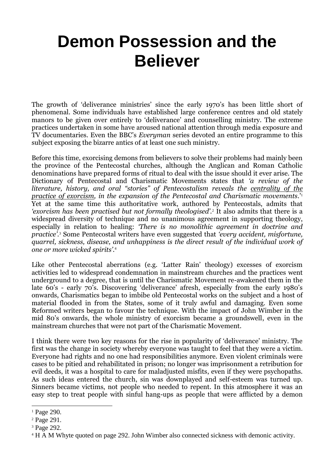# **Demon Possession and the Believer**

The growth of 'deliverance ministries' since the early 1970's has been little short of phenomenal. Some individuals have established large conference centres and old stately manors to be given over entirely to 'deliverance' and counselling ministry. The extreme practices undertaken in some have aroused national attention through media exposure and TV documentaries. Even the BBC's *Everyman* series devoted an entire programme to this subject exposing the bizarre antics of at least one such ministry.

Before this time, exorcising demons from believers to solve their problems had mainly been the province of the Pentecostal churches, although the Anglican and Roman Catholic denominations have prepared forms of ritual to deal with the issue should it ever arise. The Dictionary of Pentecostal and Charismatic Movements states that *'a review of the literature, history, and oral "stories" of Pentecostalism reveals the <u>centrality of the</u> practice of exorcism, in the expansion of the Pentecostal and Charismatic movements*.'<sup>1</sup> Yet at the same time this authoritative work, authored by Pentecostals, admits that *'exorcism has been practised but not formally theologised'.*<sup>2</sup> It also admits that there is a widespread diversity of technique and no unanimous agreement in supporting theology, especially in relation to healing: *'There is no monolithic agreement in doctrine and practice'.*<sup>3</sup> Some Pentecostal writers have even suggested that *'every accident, misfortune, quarrel, sickness, disease, and unhappiness is the direct result of the individual work of one or more wicked spirits'.*<sup>4</sup>

Like other Pentecostal aberrations (e.g. 'Latter Rain' theology) excesses of exorcism activities led to widespread condemnation in mainstream churches and the practices went underground to a degree, that is until the Charismatic Movement re-awakened them in the late 60's - early 70's. Discovering 'deliverance' afresh, especially from the early 1980's onwards, Charismatics began to imbibe old Pentecostal works on the subject and a host of material flooded in from the States, some of it truly awful and damaging. Even some Reformed writers began to favour the technique. With the impact of John Wimber in the mid 80's onwards, the whole ministry of exorcism became a groundswell, even in the mainstream churches that were not part of the Charismatic Movement.

I think there were two key reasons for the rise in popularity of 'deliverance' ministry. The first was the change in society whereby everyone was taught to feel that they were a victim. Everyone had rights and no one had responsibilities anymore. Even violent criminals were cases to be pitied and rehabilitated in prison; no longer was imprisonment a retribution for evil deeds, it was a hospital to care for maladjusted misfits, even if they were psychopaths. As such ideas entered the church, sin was downplayed and self-esteem was turned up. Sinners became victims, not people who needed to repent. In this atmosphere it was an easy step to treat people with sinful hang-ups as people that were afflicted by a demon

-

<sup>&</sup>lt;sup>1</sup> Page 290.

<sup>2</sup> Page 291.

<sup>3</sup> Page 292.

<sup>4</sup> H A M Whyte quoted on page 292. John Wimber also connected sickness with demonic activity.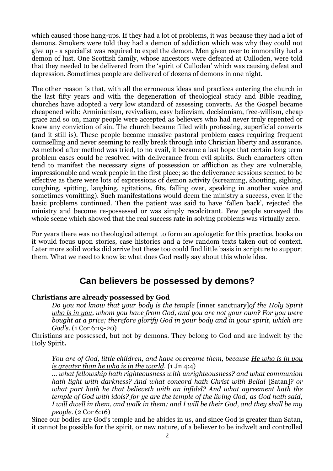which caused those hang-ups. If they had a lot of problems, it was because they had a lot of demons. Smokers were told they had a demon of addiction which was why they could not give up - a specialist was required to expel the demon. Men given over to immorality had a demon of lust. One Scottish family, whose ancestors were defeated at Culloden, were told that they needed to be delivered from the 'spirit of Culloden' which was causing defeat and depression. Sometimes people are delivered of dozens of demons in one night.

The other reason is that, with all the erroneous ideas and practices entering the church in the last fifty years and with the degeneration of theological study and Bible reading, churches have adopted a very low standard of assessing converts. As the Gospel became cheapened with: Arminianism, revivalism, easy believism, decisionism, free-willism, cheap grace and so on, many people were accepted as believers who had never truly repented or knew any conviction of sin. The church became filled with professing, superficial converts (and it still is). These people became massive pastoral problem cases requiring frequent counselling and never seeming to really break through into Christian liberty and assurance. As method after method was tried, to no avail, it became a last hope that certain long term problem cases could be resolved with deliverance from evil spirits. Such characters often tend to manifest the necessary signs of possession or affliction as they are vulnerable, impressionable and weak people in the first place; so the deliverance sessions seemed to be effective as there were lots of expressions of demon activity (screaming, shouting, sighing, coughing, spitting, laughing, agitations, fits, falling over, speaking in another voice and sometimes vomitting). Such manifestations would deem the ministry a success, even if the basic problems continued. Then the patient was said to have 'fallen back', rejected the ministry and become re-possessed or was simply recalcitrant. Few people surveyed the whole scene which showed that the real success rate in solving problems was virtually zero.

For years there was no theological attempt to form an apologetic for this practice, books on it would focus upon stories, case histories and a few random texts taken out of context. Later more solid works did arrive but these too could find little basis in scripture to support them. What we need to know is: what does God really say about this whole idea.

## **Can believers be possessed by demons?**

#### **Christians are already possessed by God**

*Do you not know that your body is the temple* [inner sanctuary]*of the Holy Spirit who is in you, whom you have from God, and you are not your own? For you were bought at a price; therefore glorify God in your body and in your spirit, which are God's.* (1 Cor 6:19-20)

Christians are possessed, but not by demons. They belong to God and are indwelt by the Holy Spirit**.**

*You are of God, little children, and have overcome them, because He who is in you is greater than he who is in the world.* (1 Jn 4:4)

*... what fellowship hath righteousness with unrighteousness? and what communion hath light with darkness? And what concord hath Christ with Belial* [Satan]*? or what part hath he that believeth with an infidel? And what agreement hath the temple of God with idols? for ye are the temple of the living God; as God hath said, I will dwell in them, and walk in them; and I will be their God, and they shall be my people.* (2 Cor 6:16)

Since our bodies are God's temple and he abides in us, and since God is greater than Satan, it cannot be possible for the spirit, or new nature, of a believer to be indwelt and controlled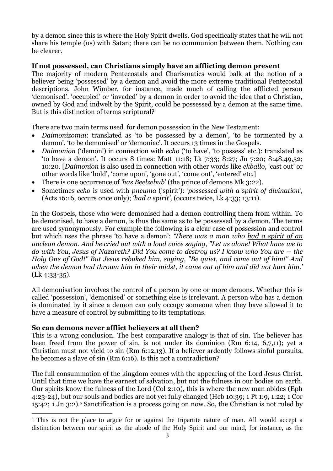by a demon since this is where the Holy Spirit dwells. God specifically states that he will not share his temple (us) with Satan; there can be no communion between them. Nothing can be clearer.

#### **If not possessed, can Christians simply have an afflicting demon present**

The majority of modern Pentecostals and Charismatics would balk at the notion of a believer being 'possessed' by a demon and avoid the more extreme traditional Pentecostal descriptions. John Wimber, for instance, made much of calling the afflicted person 'demonised'. 'occupied' or 'invaded' by a demon in order to avoid the idea that a Christian, owned by God and indwelt by the Spirit, could be possessed by a demon at the same time. But is this distinction of terms scriptural?

There are two main terms used for demon possession in the New Testament:

- *Daimonizomai*: translated as 'to be possessed by a demon', 'to be tormented by a demon', 'to be demonised' or 'demoniac'. It occurs 13 times in the Gospels.
- *Daimonion* ('demon') in connection with *echo* ('to have', 'to possess' etc.): translated as 'to have a demon'. It occurs 8 times: Matt 11:18; Lk 7:33; 8:27; Jn 7:20; 8:48,49,52; 10:20. [*Daimonion* is also used in connection with other words like *ekballo*, 'cast out' or other words like 'hold', 'come upon', 'gone out', 'come out', 'entered' etc.]
- There is one occurrence of *'has Beelzebub*' (the prince of demons Mk 3:22).
- Sometimes *echo* is used with *pneuma* ('spirit'): *'possessed with a spirit of divination',* (Acts 16:16, occurs once only); *'had a spirit',* (occurs twice, Lk 4:33; 13:11).

In the Gospels, those who were demonised had a demon controlling them from within. To be demonised, to have a demon, is thus the same as to be possessed by a demon. The terms are used synonymously. For example the following is a clear case of possession and control but which uses the phrase 'to have a demon': *'There was a man who had a spirit of an unclean demon. And he cried out with a loud voice saying, "Let us alone! What have we to do with You, Jesus of Nazareth? Did You come to destroy us? I know who You are -- the Holy One of God!" But Jesus rebuked him, saying, "Be quiet, and come out of him!" And when the demon had thrown him in their midst, it came out of him and did not hurt him.'* (Lk 4:33-35).

All demonisation involves the control of a person by one or more demons. Whether this is called 'possession', 'demonised' or something else is irrelevant. A person who has a demon is dominated by it since a demon can only occupy someone when they have allowed it to have a measure of control by submitting to its temptations.

#### **So can demons never afflict believers at all then?**

-

This is a wrong conclusion. The best comparative analogy is that of sin. The believer has been freed from the power of sin, is not under its dominion (Rm 6:14, 6,7,11); yet a Christian must not yield to sin (Rm 6:12,13). If a believer ardently follows sinful pursuits, he becomes a slave of sin (Rm 6:16). Is this not a contradiction?

The full consummation of the kingdom comes with the appearing of the Lord Jesus Christ. Until that time we have the earnest of salvation, but not the fulness in our bodies on earth. Our spirits know the fulness of the Lord (Col 2:10), this is where the new man abides (Eph 4:23-24), but our souls and bodies are not yet fully changed (Heb 10:39; 1 Pt 1:9, 1:22; 1 Cor 15:42; 1 Jn 3:2).<sup>5</sup> Sanctification is a process going on now. So, the Christian is not ruled by

<sup>&</sup>lt;sup>5</sup> This is not the place to argue for or against the tripartite nature of man. All would accept a distinction between our spirit as the abode of the Holy Spirit and our mind, for instance, as the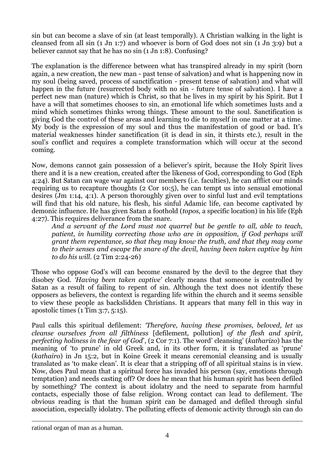sin but can become a slave of sin (at least temporally). A Christian walking in the light is cleansed from all sin (1 Jn 1:7) and whoever is born of God does not sin (1 Jn 3:9) but a believer cannot say that he has no sin (1 Jn 1:8). Confusing?

The explanation is the difference between what has transpired already in my spirit (born again, a new creation, the new man - past tense of salvation) and what is happening now in my soul (being saved, process of sanctification - present tense of salvation) and what will happen in the future (resurrected body with no sin - future tense of salvation). I have a perfect new man (nature) which is Christ, so that he lives in my spirit by his Spirit. But I have a will that sometimes chooses to sin, an emotional life which sometimes lusts and a mind which sometimes thinks wrong things. These amount to the soul. Sanctification is giving God the control of these areas and learning to die to myself in one matter at a time. My body is the expression of my soul and thus the manifestation of good or bad. It's material weaknesses hinder sanctification (it is dead in sin, it thirsts etc.), result in the soul's conflict and requires a complete transformation which will occur at the second coming.

Now, demons cannot gain possession of a believer's spirit, because the Holy Spirit lives there and it is a new creation, created after the likeness of God, corresponding to God (Eph 4:24). But Satan can wage war against our members (i.e. faculties), he can afflict our minds requiring us to recapture thoughts (2 Cor 10:5), he can tempt us into sensual emotional desires (Jm 1:14, 4:1). A person thoroughly given over to sinful lust and evil temptations will find that his old nature, his flesh, his sinful Adamic life, can become captivated by demonic influence. He has given Satan a foothold (*topos,* a specific location) in his life (Eph 4:27). This requires deliverance from the snare.

*And a servant of the Lord must not quarrel but be gentle to all, able to teach, patient, in humility correcting those who are in opposition, if God perhaps will grant them repentance, so that they may know the truth, and that they may come to their senses and escape the snare of the devil, having been taken captive by him to do his will.* (2 Tim 2:24-26)

Those who oppose God's will can become ensnared by the devil to the degree that they disobey God. *'Having been taken captive'* clearly means that someone is controlled by Satan as a result of failing to repent of sin. Although the text does not identify these opposers as believers, the context is regarding life within the church and it seems sensible to view these people as backslidden Christians. It appears that many fell in this way in apostolic times (1 Tim 3:7, 5:15).

Paul calls this spiritual defilement: *'Therefore, having these promises, beloved, let us cleanse ourselves from all filthiness* [defilement, pollution] *of the flesh and spirit, perfecting holiness in the fear of God*', (2 Cor 7:1). The word' cleansing' (*katharizo*) has the meaning of 'to prune' in old Greek and, in its other form, it is translated as 'prune' (*kathairo*) in Jn 15:2, but in Koine Greek it means ceremonial cleansing and is usually translated as 'to make clean'. It is clear that a stripping off of all spiritual stains is in view. Now, does Paul mean that a spiritual force has invaded his person (say, emotions through temptation) and needs casting off? Or does he mean that his human spirit has been defiled by something? The context is about idolatry and the need to separate from harmful contacts, especially those of false religion. Wrong contact can lead to defilement. The obvious reading is that the human spirit can be damaged and defiled through sinful association, especially idolatry. The polluting effects of demonic activity through sin can do

rational organ of man as a human.

1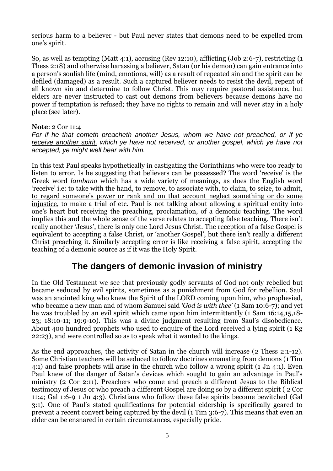serious harm to a believer - but Paul never states that demons need to be expelled from one's spirit.

So, as well as tempting (Matt 4:1), accusing (Rev 12:10), afflicting (Job 2:6-7), restricting (1 Thess 2:18) and otherwise harassing a believer, Satan (or his demon) can gain entrance into a person's soulish life (mind, emotions, will) as a result of repeated sin and the spirit can be defiled (damaged) as a result. Such a captured believer needs to resist the devil, repent of all known sin and determine to follow Christ. This may require pastoral assistance, but elders are never instructed to cast out demons from believers because demons have no power if temptation is refused; they have no rights to remain and will never stay in a holy place (see later).

**Note**: 2 Cor 11:4

*For if he that cometh preacheth another Jesus, whom we have not preached, or if ye receive another spirit, which ye have not received, or another gospel, which ye have not accepted, ye might well bear with him.*

In this text Paul speaks hypothetically in castigating the Corinthians who were too ready to listen to error. Is he suggesting that believers can be possessed? The word 'receive' is the Greek word *lambano* which has a wide variety of meanings, as does the English word 'receive' i.e: to take with the hand, to remove, to associate with, to claim, to seize, to admit, to regard someone's power or rank and on that account neglect something or do some injustice, to make a trial of etc. Paul is not talking about allowing a spiritual entity into one's heart but receiving the preaching, proclamation, of a demonic teaching. The word implies this and the whole sense of the verse relates to accepting false teaching. There isn't really another 'Jesus', there is only one Lord Jesus Christ. The reception of a false Gospel is equivalent to accepting a false Christ, or 'another Gospel', but there isn't really a different Christ preaching it. Similarly accepting error is like receiving a false spirit, accepting the teaching of a demonic source as if it was the Holy Spirit.

## **The dangers of demonic invasion of ministry**

In the Old Testament we see that previously godly servants of God not only rebelled but became seduced by evil spirits, sometimes as a punishment from God for rebellion. Saul was an anointed king who knew the Spirit of the LORD coming upon him, who prophesied, who became a new man and of whom Samuel said *'God is with thee'* (1 Sam 10:6-7); and yet he was troubled by an evil spirit which came upon him intermittently (1 Sam 16:14,15,18-23; 18:10-11; 19:9-10). This was a divine judgment resulting from Saul's disobedience. About 400 hundred prophets who used to enquire of the Lord received a lying spirit (1 Kg 22:23), and were controlled so as to speak what it wanted to the kings.

As the end approaches, the activity of Satan in the church will increase (2 Thess 2:1-12). Some Christian teachers will be seduced to follow doctrines emanating from demons (1 Tim 4:1) and false prophets will arise in the church who follow a wrong spirit (1 Jn 4:1). Even Paul knew of the danger of Satan's devices which sought to gain an advantage in Paul's ministry (2 Cor 2:11). Preachers who come and preach a different Jesus to the Biblical testimony of Jesus or who preach a different Gospel are doing so by a different spirit ( 2 Cor 11:4; Gal 1:6-9 1 Jn 4:3). Christians who follow these false spirits become bewitched (Gal 3:1). One of Paul's stated qualifications for potential eldership is specifically geared to prevent a recent convert being captured by the devil (1 Tim 3:6-7). This means that even an elder can be ensnared in certain circumstances, especially pride.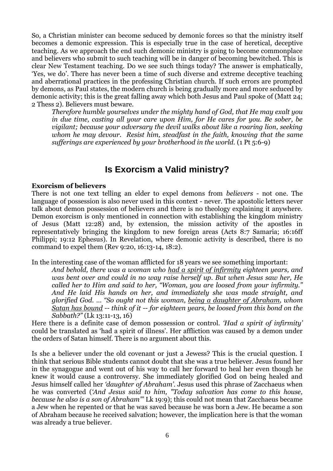So, a Christian minister can become seduced by demonic forces so that the ministry itself becomes a demonic expression. This is especially true in the case of heretical, deceptive teaching. As we approach the end such demonic ministry is going to become commonplace and believers who submit to such teaching will be in danger of becoming bewitched. This is clear New Testament teaching. Do we see such things today? The answer is emphatically, 'Yes, we do'. There has never been a time of such diverse and extreme deceptive teaching and aberrational practices in the professing Christian church. If such errors are prompted by demons, as Paul states, the modern church is being gradually more and more seduced by demonic activity; this is the great falling away which both Jesus and Paul spoke of (Matt 24; 2 Thess 2). Believers must beware.

*Therefore humble yourselves under the mighty hand of God, that He may exalt you in due time, casting all your care upon Him, for He cares for you. Be sober, be vigilant; because your adversary the devil walks about like a roaring lion, seeking whom he may devour. Resist him, steadfast in the faith, knowing that the same sufferings are experienced by your brotherhood in the world.* (1 Pt 5:6-9)

### **Is Exorcism a Valid ministry?**

#### **Exorcism of believers**

There is not one text telling an elder to expel demons from *believers* - not one. The language of possession is also never used in this context - never. The apostolic letters never talk about demon possession of believers and there is no theology explaining it anywhere. Demon exorcism is only mentioned in connection with establishing the kingdom ministry of Jesus (Matt 12:28) and, by extension, the mission activity of the apostles in representatively bringing the kingdom to new foreign areas (Acts 8:7 Samaria; 16:16ff Philippi; 19:12 Ephesus). In Revelation, where demonic activity is described, there is no command to expel them (Rev 9:20, 16:13-14, 18:2).

In the interesting case of the woman afflicted for 18 years we see something important:

*And behold, there was a woman who had a spirit of infirmity eighteen years, and was bent over and could in no way raise herself up. But when Jesus saw her, He called her to Him and said to her, "Woman, you are loosed from your infirmity." And He laid His hands on her, and immediately she was made straight, and glorified God.* ... *"So ought not this woman, being a daughter of Abraham, whom Satan has bound -- think of it -- for eighteen years, be loosed from this bond on the Sabbath?"* (Lk 13:11-13, 16)

Here there is a definite case of demon possession or control. *'Had a spirit of infirmity'* could be translated as 'had a spirit of illness'. Her affliction was caused by a demon under the orders of Satan himself. There is no argument about this.

Is she a believer under the old covenant or just a Jewess? This is the crucial question. I think that serious Bible students cannot doubt that she was a true believer. Jesus found her in the synagogue and went out of his way to call her forward to heal her even though he knew it would cause a controversy. She immediately glorified God on being healed and Jesus himself called her *'daughter of Abraham'.* Jesus used this phrase of Zacchaeus when he was converted (*'And Jesus said to him, "Today salvation has come to this house, because he also is a son of Abraham"'* Lk 19:9); this could not mean that Zacchaeus became a Jew when he repented or that he was saved because he was born a Jew. He became a son of Abraham because he received salvation; however, the implication here is that the woman was already a true believer.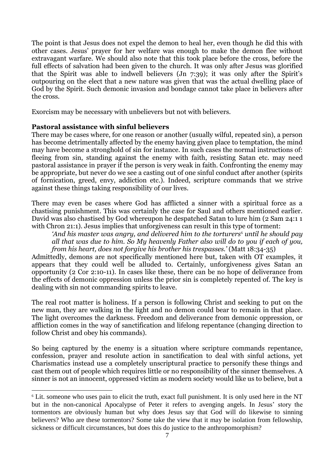The point is that Jesus does not expel the demon to heal her, even though he did this with other cases. Jesus' prayer for her welfare was enough to make the demon flee without extravagant warfare. We should also note that this took place before the cross, before the full effects of salvation had been given to the church. It was only after Jesus was glorified that the Spirit was able to indwell believers (Jn 7:39); it was only after the Spirit's outpouring on the elect that a new nature was given that was the actual dwelling place of God by the Spirit. Such demonic invasion and bondage cannot take place in believers after the cross.

Exorcism may be necessary with unbelievers but not with believers.

#### **Pastoral assistance with sinful believers**

1

There may be cases where, for one reason or another (usually wilful, repeated sin), a person has become detrimentally affected by the enemy having given place to temptation, the mind may have become a stronghold of sin for instance. In such cases the normal instructions of: fleeing from sin, standing against the enemy with faith, resisting Satan etc. may need pastoral assistance in prayer if the person is very weak in faith. Confronting the enemy may be appropriate, but never do we see a casting out of one sinful conduct after another (spirits of fornication, greed, envy, addiction etc.). Indeed, scripture commands that we strive against these things taking responsibility of our lives.

There may even be cases where God has afflicted a sinner with a spiritual force as a chastising punishment. This was certainly the case for Saul and others mentioned earlier. David was also chastised by God whereupon he despatched Satan to lure him (2 Sam 24:1 1 with Chron 21:1). Jesus implies that unforgiveness can result in this type of torment:

*'And his master was angry, and delivered him to the torturers*<sup>6</sup> *until he should pay all that was due to him. So My heavenly Father also will do to you if each of you, from his heart, does not forgive his brother his trespasses.'* (Matt 18:34-35)

Admittedly, demons are not specifically mentioned here but, taken with OT examples, it appears that they could well be alluded to. Certainly, unforgiveness gives Satan an opportunity (2 Cor 2:10-11). In cases like these, there can be no hope of deliverance from the effects of demonic oppression unless the prior sin is completely repented of. The key is dealing with sin not commanding spirits to leave.

The real root matter is holiness. If a person is following Christ and seeking to put on the new man, they are walking in the light and no demon could bear to remain in that place. The light overcomes the darkness. Freedom and deliverance from demonic oppression, or affliction comes in the way of sanctification and lifelong repentance (changing direction to follow Christ and obey his commands).

So being captured by the enemy is a situation where scripture commands repentance, confession, prayer and resolute action in sanctification to deal with sinful actions, yet Charismatics instead use a completely unscriptural practice to personify these things and cast them out of people which requires little or no responsibility of the sinner themselves. A sinner is not an innocent, oppressed victim as modern society would like us to believe, but a

<sup>6</sup> Lit. someone who uses pain to elicit the truth, exact full punishment. It is only used here in the NT but in the non-canonical Apocalypse of Peter it refers to avenging angels. In Jesus' story the tormentors are obviously human but why does Jesus say that God will do likewise to sinning believers? Who are these tormentors? Some take the view that it may be isolation from fellowship, sickness or difficult circumstances, but does this do justice to the anthropomorphism?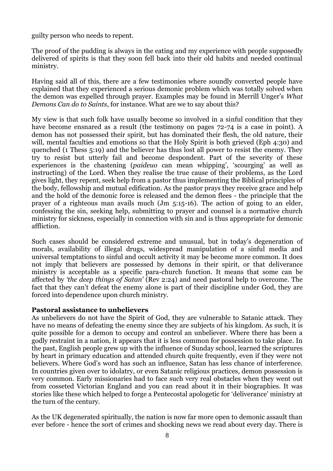guilty person who needs to repent.

The proof of the pudding is always in the eating and my experience with people supposedly delivered of spirits is that they soon fell back into their old habits and needed continual ministry.

Having said all of this, there are a few testimonies where soundly converted people have explained that they experienced a serious demonic problem which was totally solved when the demon was expelled through prayer. Examples may be found in Merrill Unger's *What Demons Can do to Saints*, for instance. What are we to say about this?

My view is that such folk have usually become so involved in a sinful condition that they have become ensnared as a result (the testimony on pages 72-74 is a case in point). A demon has not possessed their spirit, but has dominated their flesh, the old nature, their will, mental faculties and emotions so that the Holy Spirit is both grieved (Eph 4:30) and quenched (1 Thess 5:19) and the believer has thus lost all power to resist the enemy. They try to resist but utterly fail and become despondent. Part of the severity of these experiences is the chastening (*paideuo* can mean whipping', 'scourging' as well as instructing) of the Lord. When they realise the true cause of their problems, as the Lord gives light, they repent, seek help from a pastor thus implementing the Biblical principles of the body, fellowship and mutual edification. As the pastor prays they receive grace and help and the hold of the demonic force is released and the demon flees - the principle that the prayer of a righteous man avails much (Jm 5:15-16). The action of going to an elder, confessing the sin, seeking help, submitting to prayer and counsel is a normative church ministry for sickness, especially in connection with sin and is thus appropriate for demonic affliction.

Such cases should be considered extreme and unusual, but in today's degeneration of morals, availability of illegal drugs, widespread manipulation of a sinful media and universal temptations to sinful and occult activity it may be become more common. It does not imply that believers are possessed by demons in their spirit, or that deliverance ministry is acceptable as a specific para-church function. It means that some can be affected by *'the deep things of Satan'* (Rev 2:24) and need pastoral help to overcome. The fact that they can't defeat the enemy alone is part of their discipline under God, they are forced into dependence upon church ministry.

#### **Pastoral assistance to unbelievers**

As unbelievers do not have the Spirit of God, they are vulnerable to Satanic attack. They have no means of defeating the enemy since they are subjects of his kingdom. As such, it is quite possible for a demon to occupy and control an unbeliever. Where there has been a godly restraint in a nation, it appears that it is less common for possession to take place. In the past, English people grew up with the influence of Sunday school, learned the scriptures by heart in primary education and attended church quite frequently, even if they were not believers. Where God's word has such an influence, Satan has less chance of interference. In countries given over to idolatry, or even Satanic religious practices, demon possession is very common. Early missionaries had to face such very real obstacles when they went out from cosseted Victorian England and you can read about it in their biographies. It was stories like these which helped to forge a Pentecostal apologetic for 'deliverance' ministry at the turn of the century.

As the UK degenerated spiritually, the nation is now far more open to demonic assault than ever before - hence the sort of crimes and shocking news we read about every day. There is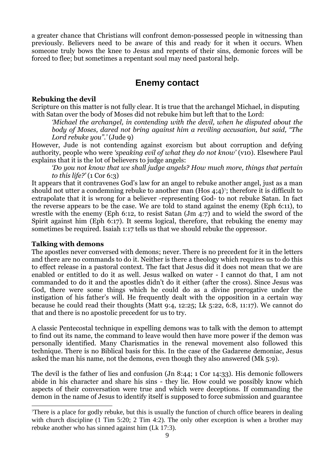a greater chance that Christians will confront demon-possessed people in witnessing than previously. Believers need to be aware of this and ready for it when it occurs. When someone truly bows the knee to Jesus and repents of their sins, demonic forces will be forced to flee; but sometimes a repentant soul may need pastoral help.

## **Enemy contact**

#### **Rebuking the devil**

Scripture on this matter is not fully clear. It is true that the archangel Michael, in disputing with Satan over the body of Moses did not rebuke him but left that to the Lord:

*'Michael the archangel, in contending with the devil, when he disputed about the body of Moses, dared not bring against him a reviling accusation, but said, "The Lord rebuke you".'* (Jude 9)

However, Jude is not contending against exorcism but about corruption and defying authority, people who were *'speaking evil of what they do not know'* (v10)*.* Elsewhere Paul explains that it is the lot of believers to judge angels:

*'Do you not know that we shall judge angels? How much more, things that pertain to this life?'* (1 Cor 6:3)

It appears that it contravenes God's law for an angel to rebuke another angel, just as a man should not utter a condemning rebuke to another man (Hos 4;4)<sup>7</sup>; therefore it is difficult to extrapolate that it is wrong for a believer -representing God- to not rebuke Satan. In fact the reverse appears to be the case. We are told to stand against the enemy (Eph 6:11), to wrestle with the enemy (Eph 6:12, to resist Satan (Jm 4:7) and to wield the sword of the Spirit against him (Eph 6:17). It seems logical, therefore, that rebuking the enemy may sometimes be required. Isaiah 1:17 tells us that we should rebuke the oppressor.

#### **Talking with demons**

-

The apostles never conversed with demons; never. There is no precedent for it in the letters and there are no commands to do it. Neither is there a theology which requires us to do this to effect release in a pastoral context. The fact that Jesus did it does not mean that we are enabled or entitled to do it as well. Jesus walked on water - I cannot do that, I am not commanded to do it and the apostles didn't do it either (after the cross). Since Jesus was God, there were some things which he could do as a divine prerogative under the instigation of his father's will. He frequently dealt with the opposition in a certain way because he could read their thoughts (Matt 9:4, 12:25; Lk 5:22, 6:8, 11:17). We cannot do that and there is no apostolic precedent for us to try.

A classic Pentecostal technique in expelling demons was to talk with the demon to attempt to find out its name, the command to leave would then have more power if the demon was personally identified. Many Charismatics in the renewal movement also followed this technique. There is no Biblical basis for this. In the case of the Gadarene demoniac, Jesus asked the man his name, not the demons, even though they also answered (Mk 5:9).

The devil is the father of lies and confusion (Jn 8:44; 1 Cor 14:33). His demonic followers abide in his character and share his sins - they lie. How could we possibly know which aspects of their conversation were true and which were deceptions. If commanding the demon in the name of Jesus to identify itself is supposed to force submission and guarantee

<sup>7</sup>There is a place for godly rebuke, but this is usually the function of church office bearers in dealing with church discipline (1 Tim 5:20; 2 Tim 4:2). The only other exception is when a brother may rebuke another who has sinned against him (Lk 17:3).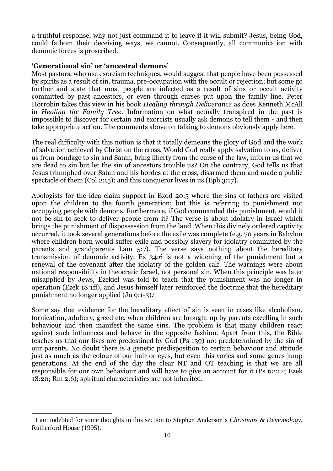a truthful response, why not just command it to leave if it will submit? Jesus, being God, could fathom their deceiving ways, we cannot. Consequently, all communication with demonic forces is proscribed.

#### **'Generational sin' or 'ancestral demons'**

Most pastors, who use exorcism techniques, would suggest that people have been possessed by spirits as a result of sin, trauma, pre-occupation with the occult or rejection; but some go further and state that most people are infected as a result of sins or occult activity committed by past ancestors, or even through curses put upon the family line. Peter Horrobin takes this view in his book *Healing through Deliverance* as does Kenneth McAll in *Healing the Family Tree*. Information on what actually transpired in the past is impossible to discover for certain and exorcists usually ask demons to tell them - and then take appropriate action. The comments above on talking to demons obviously apply here.

The real difficulty with this notion is that it totally demeans the glory of God and the work of salvation achieved by Christ on the cross. Would God really apply salvation to us, deliver us from bondage to sin and Satan, bring liberty from the curse of the law, inform us that we are dead to sin but let the sin of ancestors trouble us? On the contrary, God tells us that Jesus triumphed over Satan and his hordes at the cross, disarmed them and made a public spectacle of them (Col 2:15); and this conqueror lives in us (Eph 3:17).

Apologists for the idea claim support in Exod 20:5 where the sins of fathers are visited upon the children to the fourth generation; but this is referring to punishment not occupying people with demons. Furthermore, if God commanded this punishment, would it not be sin to seek to deliver people from it? The verse is about idolatry in Israel which brings the punishment of dispossession from the land. When this divinely ordered captivity occurred, it took several generations before the exile was complete (e.g. 70 years in Babylon where children born would suffer exile and possibly slavery for idolatry committed by the parents and grandparents Lam 5:7). The verse says nothing about the hereditary transmission of demonic activity. Ex 34:6 is not a widening of the punishment but a renewal of the covenant after the idolatry of the golden calf. The warnings were about national responsibility in theocratic Israel, not personal sin. When this principle was later misapplied by Jews, Ezekiel was told to teach that the punishment was no longer in operation (Ezek 18:1ff), and Jesus himself later reinforced the doctrine that the hereditary punishment no longer applied (Jn 9:1-3).<sup>8</sup>

Some say that evidence for the hereditary effect of sin is seen in cases like alcoholism, fornication, adultery, greed etc. when children are brought up by parents excelling in such behaviour and then manifest the same sins. The problem is that many children react against such influences and behave in the opposite fashion. Apart from this, the Bible teaches us that our lives are predestined by God (Ps 139) not predetermined by the sin of our parents. No doubt there is a genetic predisposition to certain behaviour and attitude just as much as the colour of our hair or eyes, but even this varies and some genes jump generations. At the end of the day the clear NT and OT teaching is that we are all responsible for our own behaviour and will have to give an account for it (Ps 62:12; Ezek 18:20; Rm 2:6); spiritual characteristics are not inherited.

-

<sup>8</sup> I am indebted for some thoughts in this section to Stephen Anderson's *Christians & Demonology,*  Rutherford House (1995).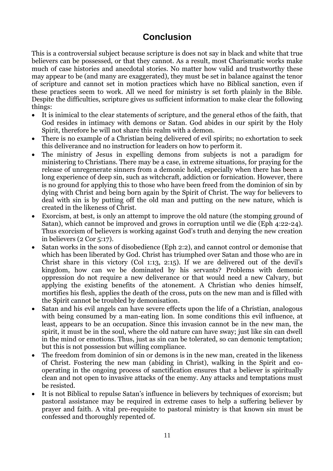## **Conclusion**

This is a controversial subject because scripture is does not say in black and white that true believers can be possessed, or that they cannot. As a result, most Charismatic works make much of case histories and anecdotal stories. No matter how valid and trustworthy these may appear to be (and many are exaggerated), they must be set in balance against the tenor of scripture and cannot set in motion practices which have no Biblical sanction, even if these practices seem to work. All we need for ministry is set forth plainly in the Bible. Despite the difficulties, scripture gives us sufficient information to make clear the following things:

- It is inimical to the clear statements of scripture, and the general ethos of the faith, that God resides in intimacy with demons or Satan. God abides in our spirit by the Holy Spirit, therefore he will not share this realm with a demon.
- There is no example of a Christian being delivered of evil spirits; no exhortation to seek this deliverance and no instruction for leaders on how to perform it.
- The ministry of Jesus in expelling demons from subjects is not a paradigm for ministering to Christians. There may be a case, in extreme situations, for praying for the release of unregenerate sinners from a demonic hold, especially when there has been a long experience of deep sin, such as witchcraft, addiction or fornication. However, there is no ground for applying this to those who have been freed from the dominion of sin by dying with Christ and being born again by the Spirit of Christ. The way for believers to deal with sin is by putting off the old man and putting on the new nature, which is created in the likeness of Christ.
- Exorcism, at best, is only an attempt to improve the old nature (the stomping ground of Satan), which cannot be improved and grows in corruption until we die (Eph 4:22-24). Thus exorcism of believers is working against God's truth and denying the new creation in believers (2 Cor 5:17).
- Satan works in the sons of disobedience (Eph 2:2), and cannot control or demonise that which has been liberated by God. Christ has triumphed over Satan and those who are in Christ share in this victory (Col 1:13, 2:15). If we are delivered out of the devil's kingdom, how can we be dominated by his servants? Problems with demonic oppression do not require a new deliverance or that would need a new Calvary, but applying the existing benefits of the atonement. A Christian who denies himself, mortifies his flesh, applies the death of the cross, puts on the new man and is filled with the Spirit cannot be troubled by demonisation.
- Satan and his evil angels can have severe effects upon the life of a Christian, analogous with being consumed by a man-eating lion. In some conditions this evil influence, at least, appears to be an occupation. Since this invasion cannot be in the new man, the spirit, it must be in the soul, where the old nature can have sway; just like sin can dwell in the mind or emotions. Thus, just as sin can be tolerated, so can demonic temptation; but this is not possession but willing compliance.
- The freedom from dominion of sin or demons is in the new man, created in the likeness of Christ. Fostering the new man (abiding in Christ), walking in the Spirit and cooperating in the ongoing process of sanctification ensures that a believer is spiritually clean and not open to invasive attacks of the enemy. Any attacks and temptations must be resisted.
- It is not Biblical to repulse Satan's influence in believers by techniques of exorcism; but pastoral assistance may be required in extreme cases to help a suffering believer by prayer and faith. A vital pre-requisite to pastoral ministry is that known sin must be confessed and thoroughly repented of.